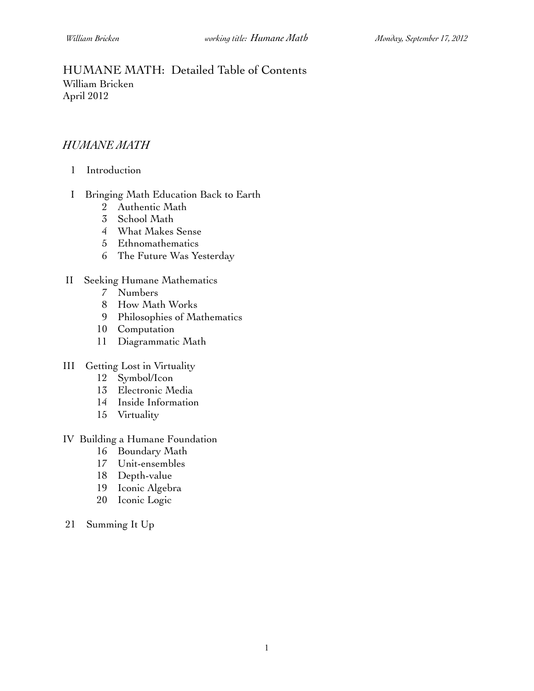HUMANE MATH: Detailed Table of Contents William Bricken April 2012

# *HUMANE MATH*

- 1 Introduction
- I Bringing Math Education Back to Earth
	- 2 Authentic Math
	- 3 School Math
	- 4 What Makes Sense
	- 5 Ethnomathematics
	- 6 The Future Was Yesterday
- II Seeking Humane Mathematics
	- 7 Numbers
	- 8 How Math Works
	- 9 Philosophies of Mathematics
	- 10 Computation
	- 11 Diagrammatic Math
- III Getting Lost in Virtuality
	- 12 Symbol/Icon
	- 13 Electronic Media
	- 14 Inside Information
	- 15 Virtuality
- IV Building a Humane Foundation
	- 16 Boundary Math
	- 17 Unit-ensembles
	- 18 Depth-value
	- 19 Iconic Algebra
	- 20 Iconic Logic
- 21 Summing It Up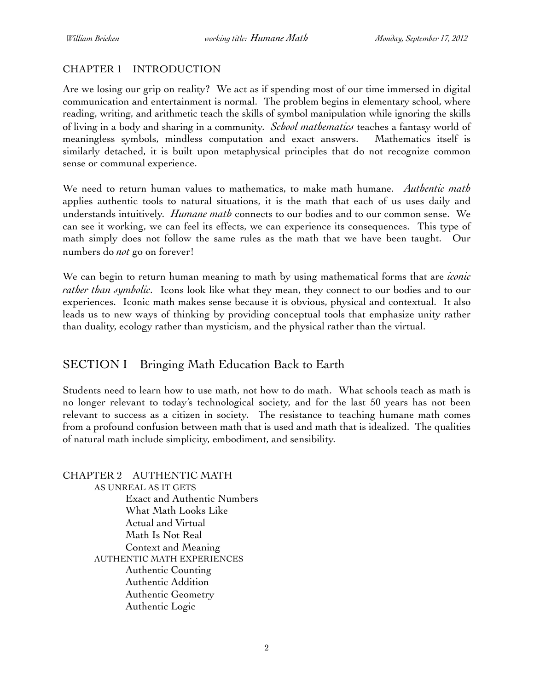## CHAPTER 1 INTRODUCTION

Are we losing our grip on reality? We act as if spending most of our time immersed in digital communication and entertainment is normal. The problem begins in elementary school, where reading, writing, and arithmetic teach the skills of symbol manipulation while ignoring the skills of living in a body and sharing in a community. *School mathematics* teaches a fantasy world of meaningless symbols, mindless computation and exact answers. Mathematics itself is similarly detached, it is built upon metaphysical principles that do not recognize common sense or communal experience.

We need to return human values to mathematics, to make math humane. *Authentic math* applies authentic tools to natural situations, it is the math that each of us uses daily and understands intuitively. *Humane math* connects to our bodies and to our common sense. We can see it working, we can feel its effects, we can experience its consequences. This type of math simply does not follow the same rules as the math that we have been taught. Our numbers do *not* go on forever!

We can begin to return human meaning to math by using mathematical forms that are *iconic rather than symbolic*. Icons look like what they mean, they connect to our bodies and to our experiences. Iconic math makes sense because it is obvious, physical and contextual. It also leads us to new ways of thinking by providing conceptual tools that emphasize unity rather than duality, ecology rather than mysticism, and the physical rather than the virtual.

# SECTION I Bringing Math Education Back to Earth

Students need to learn how to use math, not how to do math. What schools teach as math is no longer relevant to today's technological society, and for the last 50 years has not been relevant to success as a citizen in society. The resistance to teaching humane math comes from a profound confusion between math that is used and math that is idealized. The qualities of natural math include simplicity, embodiment, and sensibility.

CHAPTER 2 AUTHENTIC MATH AS UNREAL AS IT GETS Exact and Authentic Numbers What Math Looks Like Actual and Virtual Math Is Not Real Context and Meaning AUTHENTIC MATH EXPERIENCES Authentic Counting Authentic Addition Authentic Geometry Authentic Logic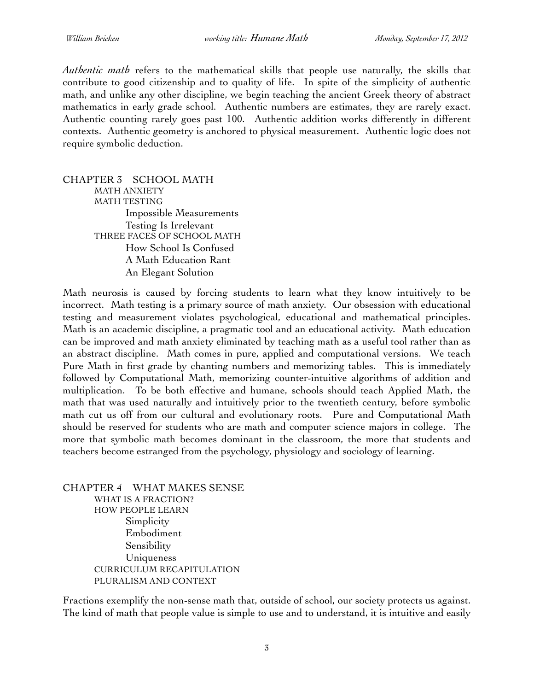*William Bricken working title: Humane Math Monday, September 17, 2012*

*Authentic math* refers to the mathematical skills that people use naturally, the skills that contribute to good citizenship and to quality of life. In spite of the simplicity of authentic math, and unlike any other discipline, we begin teaching the ancient Greek theory of abstract mathematics in early grade school. Authentic numbers are estimates, they are rarely exact. Authentic counting rarely goes past 100. Authentic addition works differently in different contexts. Authentic geometry is anchored to physical measurement. Authentic logic does not require symbolic deduction.

### CHAPTER 3 SCHOOL MATH MATH ANXIETY MATH TESTING Impossible Measurements Testing Is Irrelevant THREE FACES OF SCHOOL MATH How School Is Confused A Math Education Rant An Elegant Solution

Math neurosis is caused by forcing students to learn what they know intuitively to be incorrect. Math testing is a primary source of math anxiety. Our obsession with educational testing and measurement violates psychological, educational and mathematical principles. Math is an academic discipline, a pragmatic tool and an educational activity. Math education can be improved and math anxiety eliminated by teaching math as a useful tool rather than as an abstract discipline. Math comes in pure, applied and computational versions. We teach Pure Math in first grade by chanting numbers and memorizing tables. This is immediately followed by Computational Math, memorizing counter-intuitive algorithms of addition and multiplication. To be both effective and humane, schools should teach Applied Math, the math that was used naturally and intuitively prior to the twentieth century, before symbolic math cut us off from our cultural and evolutionary roots. Pure and Computational Math should be reserved for students who are math and computer science majors in college. The more that symbolic math becomes dominant in the classroom, the more that students and teachers become estranged from the psychology, physiology and sociology of learning.

CHAPTER 4 WHAT MAKES SENSE WHAT IS A FRACTION? HOW PEOPLE LEARN Simplicity Embodiment Sensibility Uniqueness CURRICULUM RECAPITULATION PLURALISM AND CONTEXT

Fractions exemplify the non-sense math that, outside of school, our society protects us against. The kind of math that people value is simple to use and to understand, it is intuitive and easily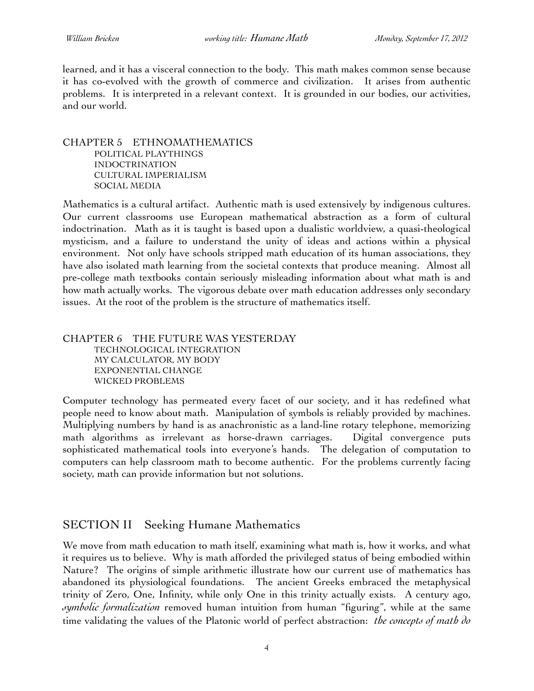learned, and it has a visceral connection to the body. This math makes common sense because it has co-evolved with the growth of commerce and civilization. It arises from authentic problems. It is interpreted in a relevant context. It is grounded in our bodies, our activities, and our world.

#### CHAPTER 5 ETHNOMATHEMATICS POLITICAL PLAYTHINGS INDOCTRINATION CULTURAL IMPERIALISM SOCIAL MEDIA

Mathematics is a cultural artifact. Authentic math is used extensively by indigenous cultures. Our current classrooms use European mathematical abstraction as a form of cultural indoctrination. Math as it is taught is based upon a dualistic worldview, a quasi-theological mysticism, and a failure to understand the unity of ideas and actions within a physical environment. Not only have schools stripped math education of its human associations, they have also isolated math learning from the societal contexts that produce meaning. Almost all pre-college math textbooks contain seriously misleading information about what math is and how math actually works. The vigorous debate over math education addresses only secondary issues. At the root of the problem is the structure of mathematics itself.

CHAPTER 6 THE FUTURE WAS YESTERDAY TECHNOLOGICAL INTEGRATION MY CALCULATOR, MY BODY EXPONENTIAL CHANGE WICKED PROBLEMS

Computer technology has permeated every facet of our society, and it has redefined what people need to know about math. Manipulation of symbols is reliably provided by machines. Multiplying numbers by hand is as anachronistic as a land-line rotary telephone, memorizing math algorithms as irrelevant as horse-drawn carriages. Digital convergence puts sophisticated mathematical tools into everyone's hands. The delegation of computation to computers can help classroom math to become authentic. For the problems currently facing society, math can provide information but not solutions.

## SECTION II Seeking Humane Mathematics

We move from math education to math itself, examining what math is, how it works, and what it requires us to believe. Why is math afforded the privileged status of being embodied within Nature? The origins of simple arithmetic illustrate how our current use of mathematics has abandoned its physiological foundations. The ancient Greeks embraced the metaphysical trinity of Zero, One, Infinity, while only One in this trinity actually exists. A century ago, *symbolic formalization* removed human intuition from human "figuring", while at the same time validating the values of the Platonic world of perfect abstraction: *the concepts of math do*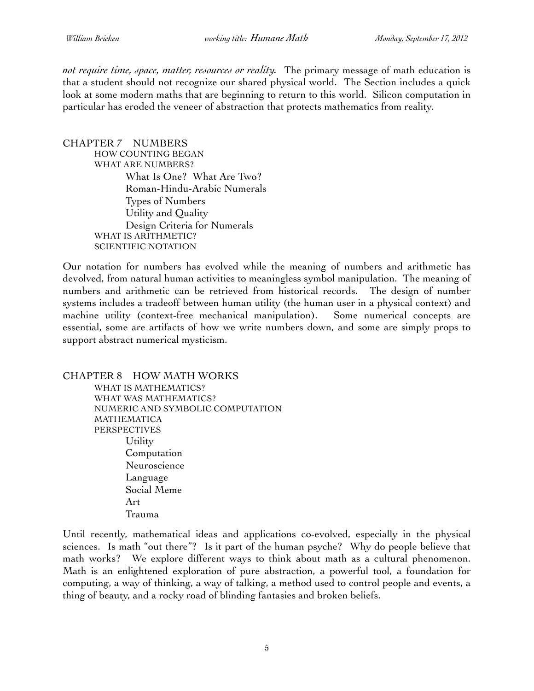*not require time, space, matter, resources or reality.* The primary message of math education is that a student should not recognize our shared physical world. The Section includes a quick look at some modern maths that are beginning to return to this world. Silicon computation in particular has eroded the veneer of abstraction that protects mathematics from reality.

CHAPTER 7 NUMBERS HOW COUNTING BEGAN WHAT ARE NUMBERS? What Is One? What Are Two? Roman-Hindu-Arabic Numerals Types of Numbers Utility and Quality Design Criteria for Numerals WHAT IS ARITHMETIC? SCIENTIFIC NOTATION

Our notation for numbers has evolved while the meaning of numbers and arithmetic has devolved, from natural human activities to meaningless symbol manipulation. The meaning of numbers and arithmetic can be retrieved from historical records. The design of number systems includes a tradeoff between human utility (the human user in a physical context) and machine utility (context-free mechanical manipulation). Some numerical concepts are essential, some are artifacts of how we write numbers down, and some are simply props to support abstract numerical mysticism.

CHAPTER 8 HOW MATH WORKS WHAT IS MATHEMATICS? WHAT WAS MATHEMATICS? NUMERIC AND SYMBOLIC COMPUTATION MATHEMATICA PERSPECTIVES **Utility**  Computation Neuroscience Language Social Meme Art Trauma

Until recently, mathematical ideas and applications co-evolved, especially in the physical sciences. Is math "out there"? Is it part of the human psyche? Why do people believe that math works? We explore different ways to think about math as a cultural phenomenon. Math is an enlightened exploration of pure abstraction, a powerful tool, a foundation for computing, a way of thinking, a way of talking, a method used to control people and events, a thing of beauty, and a rocky road of blinding fantasies and broken beliefs.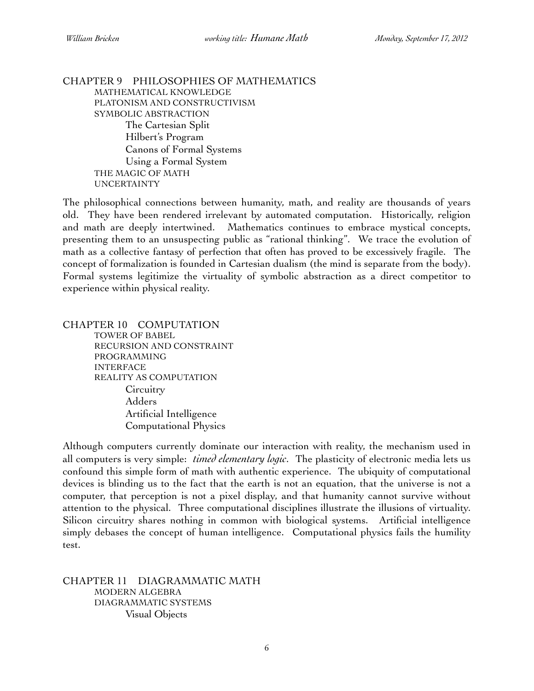CHAPTER 9 PHILOSOPHIES OF MATHEMATICS MATHEMATICAL KNOWLEDGE PLATONISM AND CONSTRUCTIVISM SYMBOLIC ABSTRACTION The Cartesian Split Hilbert's Program Canons of Formal Systems Using a Formal System THE MAGIC OF MATH UNCERTAINTY

The philosophical connections between humanity, math, and reality are thousands of years old. They have been rendered irrelevant by automated computation. Historically, religion and math are deeply intertwined. Mathematics continues to embrace mystical concepts, presenting them to an unsuspecting public as "rational thinking". We trace the evolution of math as a collective fantasy of perfection that often has proved to be excessively fragile. The concept of formalization is founded in Cartesian dualism (the mind is separate from the body). Formal systems legitimize the virtuality of symbolic abstraction as a direct competitor to experience within physical reality.

CHAPTER 10 COMPUTATION TOWER OF BABEL RECURSION AND CONSTRAINT PROGRAMMING INTERFACE REALITY AS COMPUTATION **Circuitry**  Adders Artificial Intelligence Computational Physics

Although computers currently dominate our interaction with reality, the mechanism used in all computers is very simple: *timed elementary logic*. The plasticity of electronic media lets us confound this simple form of math with authentic experience. The ubiquity of computational devices is blinding us to the fact that the earth is not an equation, that the universe is not a computer, that perception is not a pixel display, and that humanity cannot survive without attention to the physical. Three computational disciplines illustrate the illusions of virtuality. Silicon circuitry shares nothing in common with biological systems. Artificial intelligence simply debases the concept of human intelligence. Computational physics fails the humility test.

CHAPTER 11 DIAGRAMMATIC MATH MODERN ALGEBRA DIAGRAMMATIC SYSTEMS Visual Objects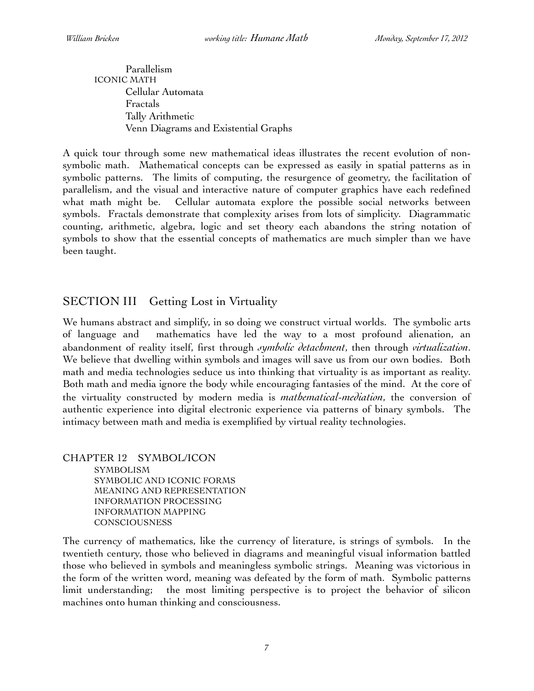Parallelism ICONIC MATH Cellular Automata Fractals Tally Arithmetic Venn Diagrams and Existential Graphs

A quick tour through some new mathematical ideas illustrates the recent evolution of nonsymbolic math. Mathematical concepts can be expressed as easily in spatial patterns as in symbolic patterns. The limits of computing, the resurgence of geometry, the facilitation of parallelism, and the visual and interactive nature of computer graphics have each redefined what math might be. Cellular automata explore the possible social networks between symbols. Fractals demonstrate that complexity arises from lots of simplicity. Diagrammatic counting, arithmetic, algebra, logic and set theory each abandons the string notation of symbols to show that the essential concepts of mathematics are much simpler than we have been taught.

# SECTION III Getting Lost in Virtuality

We humans abstract and simplify, in so doing we construct virtual worlds. The symbolic arts of language and mathematics have led the way to a most profound alienation, an abandonment of reality itself, first through *symbolic detachment*, then through *virtualization*. We believe that dwelling within symbols and images will save us from our own bodies. Both math and media technologies seduce us into thinking that virtuality is as important as reality. Both math and media ignore the body while encouraging fantasies of the mind. At the core of the virtuality constructed by modern media is *mathematical-mediation*, the conversion of authentic experience into digital electronic experience via patterns of binary symbols. The intimacy between math and media is exemplified by virtual reality technologies.

CHAPTER 12 SYMBOL/ICON SYMBOLISM SYMBOLIC AND ICONIC FORMS MEANING AND REPRESENTATION INFORMATION PROCESSING INFORMATION MAPPING CONSCIOUSNESS

The currency of mathematics, like the currency of literature, is strings of symbols. In the twentieth century, those who believed in diagrams and meaningful visual information battled those who believed in symbols and meaningless symbolic strings. Meaning was victorious in the form of the written word, meaning was defeated by the form of math. Symbolic patterns limit understanding; the most limiting perspective is to project the behavior of silicon machines onto human thinking and consciousness.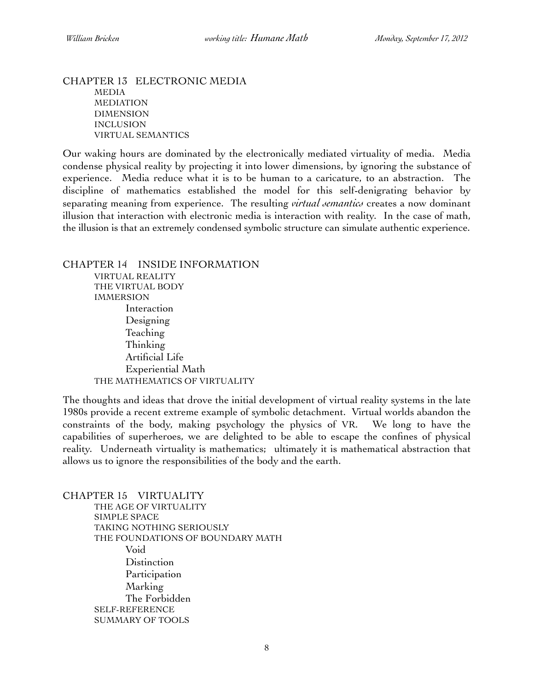CHAPTER 13 ELECTRONIC MEDIA MEDIA MEDIATION DIMENSION INCLUSION VIRTUAL SEMANTICS

Our waking hours are dominated by the electronically mediated virtuality of media. Media condense physical reality by projecting it into lower dimensions, by ignoring the substance of experience. Media reduce what it is to be human to a caricature, to an abstraction. The discipline of mathematics established the model for this self-denigrating behavior by separating meaning from experience. The resulting *virtual semantics* creates a now dominant illusion that interaction with electronic media is interaction with reality. In the case of math, the illusion is that an extremely condensed symbolic structure can simulate authentic experience.

CHAPTER 14 INSIDE INFORMATION VIRTUAL REALITY THE VIRTUAL BODY IMMERSION Interaction Designing Teaching Thinking Artificial Life Experiential Math THE MATHEMATICS OF VIRTUALITY

The thoughts and ideas that drove the initial development of virtual reality systems in the late 1980s provide a recent extreme example of symbolic detachment. Virtual worlds abandon the constraints of the body, making psychology the physics of VR. We long to have the capabilities of superheroes, we are delighted to be able to escape the confines of physical reality. Underneath virtuality is mathematics; ultimately it is mathematical abstraction that allows us to ignore the responsibilities of the body and the earth.

CHAPTER 15 VIRTUALITY THE AGE OF VIRTUALITY SIMPLE SPACE TAKING NOTHING SERIOUSLY THE FOUNDATIONS OF BOUNDARY MATH Void **Distinction**  Participation Marking The Forbidden SELF-REFERENCE SUMMARY OF TOOLS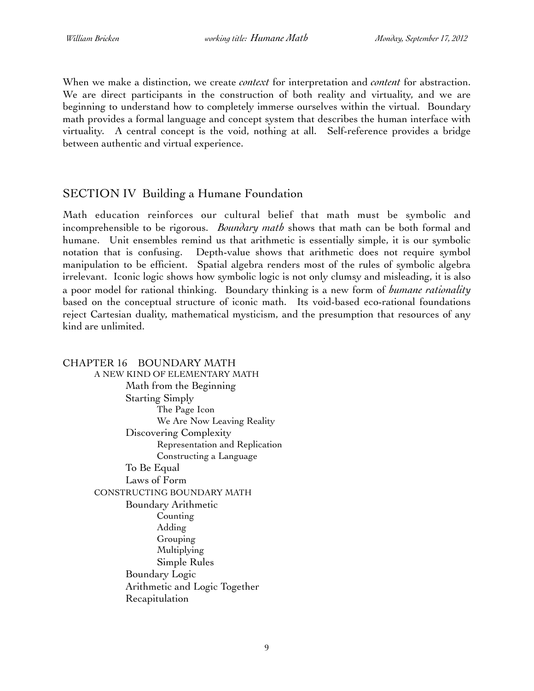When we make a distinction, we create *context* for interpretation and *content* for abstraction. We are direct participants in the construction of both reality and virtuality, and we are beginning to understand how to completely immerse ourselves within the virtual. Boundary math provides a formal language and concept system that describes the human interface with virtuality. A central concept is the void, nothing at all. Self-reference provides a bridge between authentic and virtual experience.

## SECTION IV Building a Humane Foundation

Math education reinforces our cultural belief that math must be symbolic and incomprehensible to be rigorous. *Boundary math* shows that math can be both formal and humane. Unit ensembles remind us that arithmetic is essentially simple, it is our symbolic notation that is confusing. Depth-value shows that arithmetic does not require symbol manipulation to be efficient. Spatial algebra renders most of the rules of symbolic algebra irrelevant. Iconic logic shows how symbolic logic is not only clumsy and misleading, it is also a poor model for rational thinking. Boundary thinking is a new form of *humane rationality* based on the conceptual structure of iconic math. Its void-based eco-rational foundations reject Cartesian duality, mathematical mysticism, and the presumption that resources of any kind are unlimited.

CHAPTER 16 BOUNDARY MATH A NEW KIND OF ELEMENTARY MATH Math from the Beginning Starting Simply The Page Icon We Are Now Leaving Reality Discovering Complexity Representation and Replication Constructing a Language To Be Equal Laws of Form CONSTRUCTING BOUNDARY MATH Boundary Arithmetic Counting Adding Grouping Multiplying Simple Rules Boundary Logic Arithmetic and Logic Together Recapitulation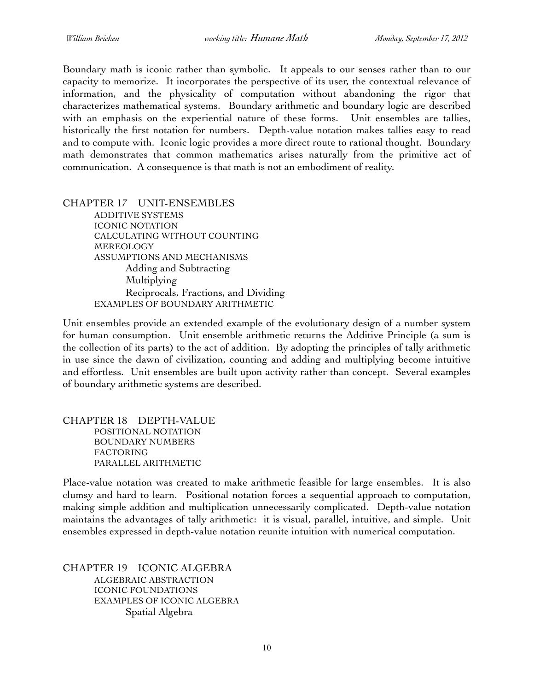Boundary math is iconic rather than symbolic. It appeals to our senses rather than to our capacity to memorize. It incorporates the perspective of its user, the contextual relevance of information, and the physicality of computation without abandoning the rigor that characterizes mathematical systems. Boundary arithmetic and boundary logic are described with an emphasis on the experiential nature of these forms. Unit ensembles are tallies, historically the first notation for numbers. Depth-value notation makes tallies easy to read and to compute with. Iconic logic provides a more direct route to rational thought. Boundary math demonstrates that common mathematics arises naturally from the primitive act of communication. A consequence is that math is not an embodiment of reality.

CHAPTER 17 UNIT-ENSEMBLES ADDITIVE SYSTEMS ICONIC NOTATION CALCULATING WITHOUT COUNTING MEREOLOGY ASSUMPTIONS AND MECHANISMS Adding and Subtracting Multiplying Reciprocals, Fractions, and Dividing EXAMPLES OF BOUNDARY ARITHMETIC

Unit ensembles provide an extended example of the evolutionary design of a number system for human consumption. Unit ensemble arithmetic returns the Additive Principle (a sum is the collection of its parts) to the act of addition. By adopting the principles of tally arithmetic in use since the dawn of civilization, counting and adding and multiplying become intuitive and effortless. Unit ensembles are built upon activity rather than concept. Several examples of boundary arithmetic systems are described.

CHAPTER 18 DEPTH-VALUE POSITIONAL NOTATION BOUNDARY NUMBERS FACTORING PARALLEL ARITHMETIC

Place-value notation was created to make arithmetic feasible for large ensembles. It is also clumsy and hard to learn. Positional notation forces a sequential approach to computation, making simple addition and multiplication unnecessarily complicated. Depth-value notation maintains the advantages of tally arithmetic: it is visual, parallel, intuitive, and simple. Unit ensembles expressed in depth-value notation reunite intuition with numerical computation.

CHAPTER 19 ICONIC ALGEBRA ALGEBRAIC ABSTRACTION ICONIC FOUNDATIONS EXAMPLES OF ICONIC ALGEBRA Spatial Algebra